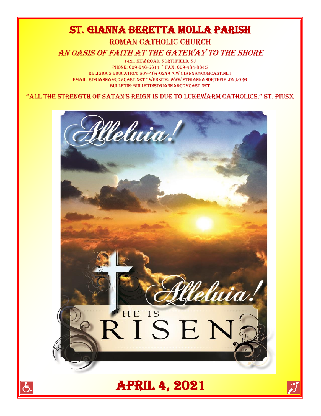# St. Gianna Beretta Molla Parish ROMAN CATHOLIC CHURCH AN OASIS OF FAITH AT THE GATEWAY TO THE SHORE

1421 New Road, Northfield, NJ PHONE: 609-646-5611 ~ FAX: 609-484-8345 Religious Education: 609-484-0249 \*cw.gianna@comcast.net Email: stgianna@comcast.net \* Website: www.stgiannanorthfieldnj.org Bulletin: bulletinstgianna@comcast.net

"All the strength of sAtAn's reign is due to lukewArm CAtholiCs." st. PiusX

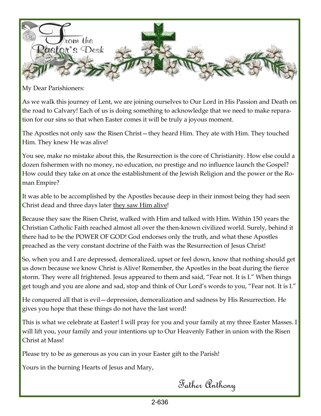

My Dear Parishioners:

As we walk this journey of Lent, we are joining ourselves to Our Lord in His Passion and Death on the road to Calvary! Each of us is doing something to acknowledge that we need to make reparation for our sins so that when Easter comes it will be truly a joyous moment.

The Apostles not only saw the Risen Christ—they heard Him. They ate with Him. They touched Him. They knew He was alive!

You see, make no mistake about this, the Resurrection is the core of Christianity. How else could a dozen fishermen with no money, no education, no prestige and no influence launch the Gospel? How could they take on at once the establishment of the Jewish Religion and the power or the Roman Empire?

It was able to be accomplished by the Apostles because deep in their inmost being they had seen Christ dead and three days later they saw Him alive!

Because they saw the Risen Christ, walked with Him and talked with Him. Within 150 years the Christian Catholic Faith reached almost all over the then-known civilized world. Surely, behind it there had to be the POWER OF GOD! God endorses only the truth, and what these Apostles preached as the very constant doctrine of the Faith was the Resurrection of Jesus Christ!

So, when you and I are depressed, demoralized, upset or feel down, know that nothing should get us down because we know Christ is Alive! Remember, the Apostles in the boat during the fierce storm. They were all frightened. Jesus appeared to them and said, "Fear not. It is I." When things get tough and you are alone and sad, stop and think of Our Lord's words to you, "Fear not. It is I."

He conquered all that is evil—depression, demoralization and sadness by His Resurrection. He gives you hope that these things do not have the last word!

This is what we celebrate at Easter! I will pray for you and your family at my three Easter Masses. I will lift you, your family and your intentions up to Our Heavenly Father in union with the Risen Christ at Mass!

Please try to be as generous as you can in your Easter gift to the Parish!

Yours in the burning Hearts of Jesus and Mary,

Father Anthony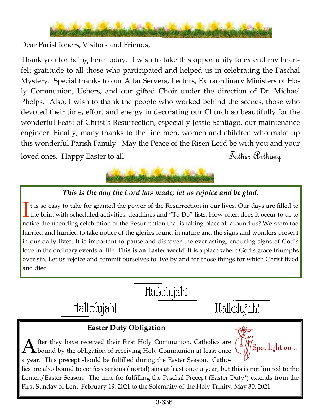

Dear Parishioners, Visitors and Friends,

Thank you for being here today. I wish to take this opportunity to extend my heartfelt gratitude to all those who participated and helped us in celebrating the Paschal Mystery. Special thanks to our Altar Servers, Lectors, Extraordinary Ministers of Holy Communion, Ushers, and our gifted Choir under the direction of Dr. Michael Phelps. Also, I wish to thank the people who worked behind the scenes, those who devoted their time, effort and energy in decorating our Church so beautifully for the wonderful Feast of Christ's Resurrection, especially Jessie Santiago, our maintenance engineer. Finally, many thanks to the fine men, women and children who make up this wonderful Parish Family. May the Peace of the Risen Lord be with you and your loved ones. Happy Easter to all! Father Anthony



*This is the day the Lord has made; let us rejoice and be glad.*

It is so easy to take for granted the power of the Resurrection in our lives. Our days are filled to the brim with scheduled activities, deadlines and "To Do" lists. How often does it occur to us to the brim with scheduled activities, deadlines and "To Do" lists. How often does it occur to us to notice the unending celebration of the Resurrection that is taking place all around us? We seem too harried and hurried to take notice of the glories found in nature and the signs and wonders present in our daily lives. It is important to pause and discover the everlasting, enduring signs of God's love in the ordinary events of life. **This is an Easter world!** It is a place where God's grace triumphs over sin. Let us rejoice and commit ourselves to live by and for those things for which Christ lived and died.

Hallelujah!

Hallelujah!

# Hallelujah!

# **Easter Duty Obligation**

A fter they have received their First Holy Communion, Catholics are<br>bound by the obligation of receiving Holy Communion at least once fter they have received their First Holy Communion, Catholics are a year. This precept should be fulfilled during the Easter Season. Catho-



lics are also bound to confess serious (mortal) sins at least once a year, but this is not limited to the Lenten/Easter Season. The time for fulfilling the Paschal Precept (Easter Duty\*) extends from the First Sunday of Lent, February 19, 2021 to the Solemnity of the Holy Trinity, May 30, 2021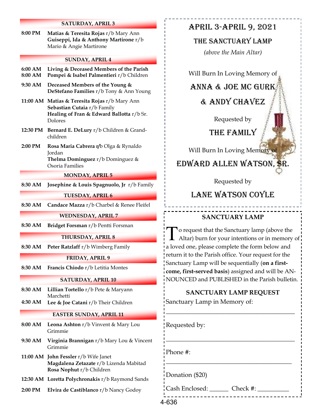#### **SATURDAY, APRIL 3**

**8:00 PM Matias & Teresita Rojas** r/b Mary Ann **Guiseppi, Ida & Anthony Martirone** r/b Mario & Angie Martirone

#### **SUNDAY, APRIL 4**

**6:00 AM Living & Deceased Members of the Parish**

- **8:00 AM Pompei & Isabel Palmentieri** r/b Children
- **9:30 AM Deceased Members of the Young & DeStefano Families** r/b Tony & Ann Young
- **11:00 AM Matias & Teresita Rojas** r/b Mary Ann **Sebastian Cutaia** r/b Family **Healing of Fran & Edward Ballotta** r/b Sr. Dolores
- **12:30 PM Bernard E. DeLury** r/b Children & Grandchildren
- **2:00 PM Rosa Maria Cabrera r/**b Olga & Rynaldo Jordan **Thelma Dominguez** r/b Dominguez & Osoria Families

#### **MONDAY, APRIL 5**

**8:30 AM Josephine & Louis Spagnuolo, Jr** r/b Family

#### **TUESDAY, APRIL 6**

**8:30 AM Candace Mazza** r/b Charbel & Renee Fleifel

**WEDNESDAY, APRIL 7**

**8:30 AM Bridget Forsman** r/b Pentti Forsman

#### **THURSDAY, APRIL 8**

**8:30 AM Peter Ratzlaff** r/b Wimberg Family

#### **FRIDAY, APRIL 9**

**8:30 AM Francis Chiodo** r/b Letitia Montes

#### **SATURDAY, APRIL 10**

- **8:30 AM Lillian Tortello** r/b Pete & Maryann Marchetti
- **4:30 AM Lee & Joe Catani** r/b Their Children

#### **EASTER SUNDAY, APRIL 11**

- **8:00 AM Leona Ashton** r/b Vinvent & Mary Lou Grimmie
- **9:30 AM Virginia Brannigan** r/b Mary Lou & Vincent Grimmie
- **11:00 AM John Fessler** r/b Wife Janet **Magdalena Zetazate** r/b Lizenda Mabitad **Rosa Nophut** r/b Children
- **12:30 AM Loretta Polychronakis** r/b Raymond Sands
- **2:00 PM Elvira de Castiblanco** r/b Nancy Godoy

# APRIL 3-APRIL 9, 2021

#### The SANCTUARY LAMP

*(above the Main Altar)*

Will Burn In Loving Memory of

#### ANNA & JOE MC GURK

# & ANDY CHAVEZ

Requested by

# THE FAMILY

Will Burn In Loving Memory of

EDWARD ALLEN WATSON, SR.

#### Requested by

# LANE WATSON COYLE

#### **SANCTUARY LAMP**

To request that the Sanctuary lamp (above the Altar) burn for your intentions or in memory Altar) burn for your intentions or in memory of a loved one, please complete the form below and return it to the Parish office. Your request for the Sanctuary Lamp will be sequentially (**on a firstcome, first-served basis**) assigned and will be AN-NOUNCED and PUBLISHED in the Parish bulletin.

#### **SANCTUARY LAMP REQUEST**

 $\overline{\phantom{a}}$  , where  $\overline{\phantom{a}}$  , where  $\overline{\phantom{a}}$  ,  $\overline{\phantom{a}}$  ,  $\overline{\phantom{a}}$  ,  $\overline{\phantom{a}}$  ,  $\overline{\phantom{a}}$  ,  $\overline{\phantom{a}}$  ,  $\overline{\phantom{a}}$  ,  $\overline{\phantom{a}}$  ,  $\overline{\phantom{a}}$  ,  $\overline{\phantom{a}}$  ,  $\overline{\phantom{a}}$  ,  $\overline{\phantom{a}}$  ,  $\overline{\phantom{a}}$  ,

 $\overline{\phantom{a}}$  , where  $\overline{\phantom{a}}$  , where  $\overline{\phantom{a}}$  ,  $\overline{\phantom{a}}$  ,  $\overline{\phantom{a}}$  ,  $\overline{\phantom{a}}$  ,  $\overline{\phantom{a}}$  ,  $\overline{\phantom{a}}$  ,  $\overline{\phantom{a}}$  ,  $\overline{\phantom{a}}$  ,  $\overline{\phantom{a}}$  ,  $\overline{\phantom{a}}$  ,  $\overline{\phantom{a}}$  ,  $\overline{\phantom{a}}$  ,  $\overline{\phantom{a}}$  ,

 $\overline{\phantom{a}}$  , where  $\overline{\phantom{a}}$  , where  $\overline{\phantom{a}}$  ,  $\overline{\phantom{a}}$  ,  $\overline{\phantom{a}}$  ,  $\overline{\phantom{a}}$  ,  $\overline{\phantom{a}}$  ,  $\overline{\phantom{a}}$  ,  $\overline{\phantom{a}}$  ,  $\overline{\phantom{a}}$  ,  $\overline{\phantom{a}}$  ,  $\overline{\phantom{a}}$  ,  $\overline{\phantom{a}}$  ,  $\overline{\phantom{a}}$  ,  $\overline{\phantom{a}}$  ,

Sanctuary Lamp in Memory of:

Requested by:

Phone #:

Donation (\$20)

Cash Enclosed: Check #:

4-636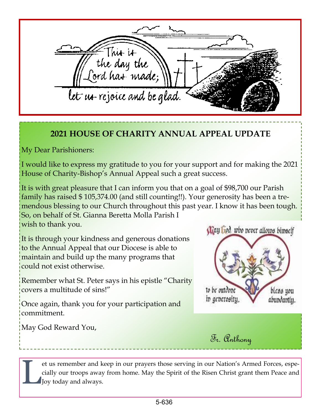This it the day the

# **2021 HOUSE OF CHARITY ANNUAL APPEAL UPDATE**

My Dear Parishioners:

I would like to express my gratitude to you for your support and for making the 2021 House of Charity-Bishop's Annual Appeal such a great success.

It is with great pleasure that I can inform you that on a goal of \$98,700 our Parish family has raised \$ 105,374.00 (and still counting!!). Your generosity has been a tremendous blessing to our Church throughout this past year. I know it has been tough. So, on behalf of St. Gianna Beretta Molla Parish I wish to thank you.

It is through your kindness and generous donations to the Annual Appeal that our Diocese is able to maintain and build up the many programs that could not exist otherwise.

Remember what St. Peter says in his epistle "Charity covers a multitude of sins!"

Once again, thank you for your participation and commitment.

May God Reward You,



Fr. Anthony

L et us remember and keep in our prayers those serving in our Nation's Armed Forces, especially our troops away from home. May the Spirit of the Risen Christ grant them Peace and Joy today and always.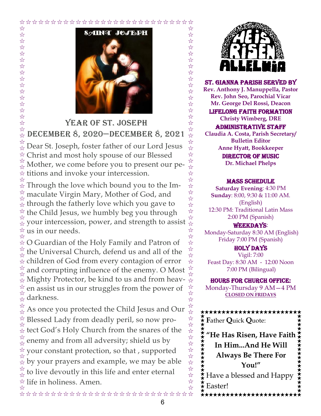#### ☆☆☆☆☆☆☆☆☆☆☆☆☆☆☆☆☆☆☆☆☆☆☆☆☆☆☆☆

 $x^2$ 



# ☆☆☆☆☆☆☆☆☆☆☆☆☆☆☆☆ Year of st. joseph December 8, 2020—December 8, 2021  $\frac{1}{2}$

 $x^2$  $\mathbb{R}$  Dear St. Joseph, foster father of our Lord Jesus Christ and most holy spouse of our Blessed ☆☆☆☆☆☆☆☆ Mother, we come before you to present our pe-☆  $\hat{x}$  titions and invoke your intercession.

 $\hat{\mathcal{R}}$  Through the love which bound you to the Im- $\hat{X}$  maculate Virgin Mary, Mother of God, and  $\hat{\phi}$  through the fatherly love which you gave to  $\hat{X}$  the Child Jesus, we humbly beg you through  $\hat{X}$  your intercession, power, and strength to assist  $\hat{X}$  $\hat{X}$  the Child Jesus, we humbly beg you through 24 24  $\hat{X}$  us in our needs. ☆

 $\triangle$  O Guardian of the Holy Family and Patron of the Universal Church, defend us and all of the  $\hat{\mathcal{R}}$  children of God from every contagion of error and corrupting influence of the enemy. O Most  $\hat{\mathcal{A}}$  Mighty Protector, be kind to us and from heav- $\hat{X}$  en assist us in our struggles from the power of  $\stackrel{\scriptscriptstyle\curvearrowleft}{\phantom{}_{\sim}}$  darkness.

卒 As once you protected the Child Jesus and Our  $\stackrel{\leftrightarrow}{\rightarrow}$  Blessed Lady from deadly peril, so now pro- $\hat{\mathcal{R}}$  tect God's Holy Church from the snares of the enemy and from all adversity; shield us by  $\frac{1}{2}$  your constant protection, so that, supported  $\frac{1}{2}$  $\hat{\mathcal{A}}$  by your prayers and example, we may be able to live devoutly in this life and enter eternal  $\hat{\mathbf{x}}$  life in holiness. Amen.

\*\*\*\*\*\*\*\*\*\*\*\*\*\*\*\*\*\*\*\*\*\*\*\*\*\*\*\*



☆ 2分2分

> $\frac{1}{\sqrt{2}}$  $\frac{1}{2}$

> $x^2$

 $\frac{1}{\sqrt{2}}$ ☆  $\frac{1}{\sqrt{2}}$  $\frac{1}{2}$  $x^2$ ☆  $x^2$ 

华玲玲:

ST. GIANNA PARISH SERVED BY **Rev. Anthony J. Manuppella, Pastor Rev. John Seo, Parochial Vicar Mr. George Del Rossi, Deacon** LIFELONG FAITH FORMATION

**Christy Wimberg, DRE** 

ADMINISTRATIVE STAFF

**Claudia A. Costa, Parish Secretary/ Bulletin Editor Anne Hyatt, Bookkeeper** 

DIRECTOR OF MUSIC

**Dr. Michael Phelps** 

#### Mass Schedule

**Saturday Evening**: 4:30 PM **Sunday**: 8:00, 9:30 & 11:00 AM. (English) 12:30 PM: Traditional Latin Mass 2:00 PM (Spanish)

#### WEEKDAYS:

Monday-Saturday 8:30 AM (English) Friday 7:00 PM (Spanish)

> Holy Days Vigil: 7:00

Feast Day: 8:30 AM - 12:00 Noon 7:00 PM (Bilingual)

#### HOURS FOR CHURCH OFFICE:

Monday-Thursday 9 AM—4 PM **CLOSED ON FRIDAYS**

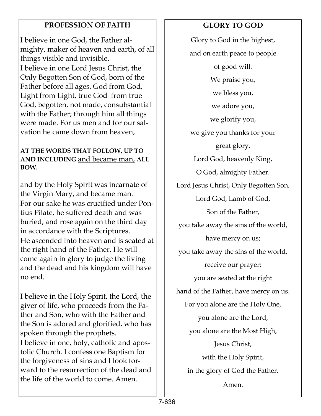# **PROFESSION OF FAITH**

I believe in one God, the Father almighty, maker of heaven and earth, of all things visible and invisible. I believe in one Lord Jesus Christ, the Only Begotten Son of God, born of the Father before all ages. God from God, Light from Light, true God from true God, begotten, not made, consubstantial with the Father; through him all things were made. For us men and for our salvation he came down from heaven,

# **AT THE WORDS THAT FOLLOW, UP TO AND INCLUDING** and became man, **ALL BOW.**

and by the Holy Spirit was incarnate of the Virgin Mary, and became man. For our sake he was crucified under Pontius Pilate, he suffered death and was buried, and rose again on the third day in accordance with the Scriptures. He ascended into heaven and is seated at the right hand of the Father. He will come again in glory to judge the living and the dead and his kingdom will have no end.

I believe in the Holy Spirit, the Lord, the giver of life, who proceeds from the Father and Son, who with the Father and the Son is adored and glorified, who has spoken through the prophets. I believe in one, holy, catholic and apostolic Church. I confess one Baptism for the forgiveness of sins and I look forward to the resurrection of the dead and the life of the world to come. Amen.

# **GLORY TO GOD**

Glory to God in the highest, and on earth peace to people of good will. We praise you, we bless you, we adore you, we glorify you, we give you thanks for your great glory, Lord God, heavenly King, O God, almighty Father. Lord Jesus Christ, Only Begotten Son, Lord God, Lamb of God, Son of the Father, you take away the sins of the world, have mercy on us; you take away the sins of the world, receive our prayer; you are seated at the right hand of the Father, have mercy on us. For you alone are the Holy One, you alone are the Lord, you alone are the Most High, Jesus Christ, with the Holy Spirit, in the glory of God the Father. Amen.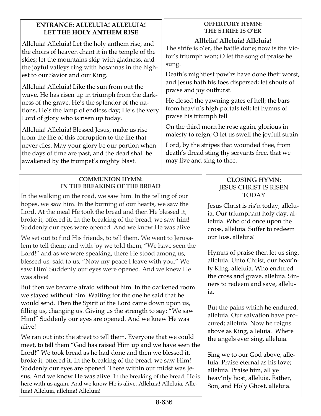## **ENTRANCE: ALLELUIA! ALLELUIA! LET THE HOLY ANTHEM RISE**

Alleluia! Alleluia! Let the holy anthem rise, and the choirs of heaven chant it in the temple of the skies; let the mountains skip with gladness, and the joyful valleys ring with hosannas in the highest to our Savior and our King.

Alleluia! Alleluia! Like the sun from out the wave, He has risen up in triumph from the darkness of the grave, He's the splendor of the nations, He's the lamp of endless day; He's the very Lord of glory who is risen up today.

Alleluia! Alleluia! Blessed Jesus, make us rise from the life of this corruption to the life that never dies. May your glory be our portion when the days of time are past, and the dead shall be awakened by the trumpet's mighty blast.

#### **COMMUNION HYMN: IN THE BREAKING OF THE BREAD**

In the walking on the road, we saw him. In the telling of our hopes, we saw him. In the burning of our hearts, we saw the Lord. At the meal He took the bread and then He blessed it, broke it, offered it. In the breaking of the bread, we saw him! Suddenly our eyes were opened. And we knew He was alive.

We set out to find His friends, to tell them. We went to Jerusalem to tell them; and with joy we told them, "We have seen the Lord!" and as we were speaking, there He stood among us, blessed us, said to us, "Now my peace I leave with you." We saw Him! Suddenly our eyes were opened. And we knew He was alive!

But then we became afraid without him. In the darkened room we stayed without him. Waiting for the one he said that he would send. Then the Spirit of the Lord came down upon us, filling us, changing us. Giving us the strength to say: "We saw Him!" Suddenly our eyes are opened. And we knew He was alive!

We ran out into the street to tell them. Everyone that we could meet, to tell them "God has raised Him up and we have seen the Lord!" We took bread as he had done and then we blessed it, broke it, offered it. In the breaking of the bread, we saw Him! Suddenly our eyes are opened. There within our midst was Jesus. And we know He was alive. In the breaking of the bread. He is here with us again. And we know He is alive. Alleluia! Alleluia, Alleluia! Alleluia, alleluia! Alleluia!

# **OFFERTORY HYMN: THE STRIFE IS O'ER**

# **Alllelia! Alleluia! Alleluia!**

The strife is o'er, the battle done; now is the Victor's triumph won; O let the song of praise be sung.

Death's mightiest pow'rs have done their worst, and Jesus hath his foes dispersed; let shouts of praise and joy outburst.

He closed the yawning gates of hell; the bars from heav'n's high portals fell; let hymns of praise his triumph tell.

On the third morn he rose again, glorious in majesty to reign; O let us swell the joyfull strain

Lord, by the stripes that wounded thee, from death's dread sting thy servants free, that we may live and sing to thee.

#### **CLOSING HYMN:**  JESUS CHRIST IS RISEN TODAY

Jesus Christ is ris'n today, alleluia. Our triumphant holy day, alleluia. Who did once upon the cross, alleluia. Suffer to redeem our loss, alleluia!

Hymns of praise then let us sing, alleluia. Unto Christ, our heav'nly King, alleluia. Who endured the cross and grave, alleluia. Sinners to redeem and save, alleluia.

But the pains which he endured, alleluia. Our salvation have procured; alleluia. Now he reigns above as King, alleluia. Where the angels ever sing, alleluia.

Sing we to our God above, alleluia. Praise eternal as his love; alleluia. Praise him, all ye heav'nly host, alleluia. Father, Son, and Holy Ghost, alleluia.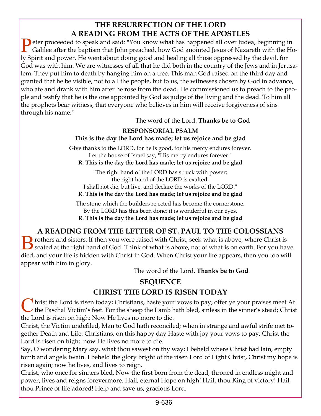# **THE RESURRECTION OF THE LORD A READING FROM THE ACTS OF THE APOSTLES**

P eter proceeded to speak and said: "You know what has happened all over Judea, beginning in Galilee after the baptism that John preached, how God anointed Jesus of Nazareth with the Ho Galilee after the baptism that John preached, how God anointed Jesus of Nazareth with the Holy Spirit and power. He went about doing good and healing all those oppressed by the devil, for God was with him. We are witnesses of all that he did both in the country of the Jews and in Jerusalem. They put him to death by hanging him on a tree. This man God raised on the third day and granted that he be visible, not to all the people, but to us, the witnesses chosen by God in advance, who ate and drank with him after he rose from the dead. He commissioned us to preach to the people and testify that he is the one appointed by God as judge of the living and the dead. To him all the prophets bear witness, that everyone who believes in him will receive forgiveness of sins through his name."

The word of the Lord. **Thanks be to God**

#### **RESPONSORIAL PSALM This is the day the Lord has made; let us rejoice and be glad**

Give thanks to the LORD, for he is good, for his mercy endures forever. Let the house of Israel say, "His mercy endures forever."

**R**. **This is the day the Lord has made; let us rejoice and be glad**

"The right hand of the LORD has struck with power; the right hand of the LORD is exalted.

I shall not die, but live, and declare the works of the LORD."

#### **R**. **This is the day the Lord has made; let us rejoice and be glad**

The stone which the builders rejected has become the cornerstone. By the LORD has this been done; it is wonderful in our eyes. **R**. **This is the day the Lord has made; let us rejoice and be glad**

# **A READING FROM THE LETTER OF ST. PAUL TO THE COLOSSIANS**

B rothers and sisters: If then you were raised with Christ, seek what is above, where Christ is seated at the right hand of God. Think of what is above, not of what is on earth. For you have died, and your life is hidden with Christ in God. When Christ your life appears, then you too will appear with him in glory.

The word of the Lord. **Thanks be to God**

# **SEQUENCE**

# **CHRIST THE LORD IS RISEN TODAY**

C hrist the Lord is risen today; Christians, haste your vows to pay; offer ye your praises meet At the Paschal Victim's feet. For the sheep the Lamb hath bled, sinless in the sinner's stead; Christ the Lord is risen on high; Now He lives no more to die.

Christ, the Victim undefiled, Man to God hath reconciled; when in strange and awful strife met together Death and Life: Christians, on this happy day Haste with joy your vows to pay; Christ the Lord is risen on high; now He lives no more to die.

Say, O wondering Mary say, what thou sawest on thy way; I beheld where Christ had lain, empty tomb and angels twain. I beheld the glory bright of the risen Lord of Light Christ, Christ my hope is risen again; now he lives, and lives to reign.

Christ, who once for sinners bled, Now the first born from the dead, throned in endless might and power, lives and reigns forevermore. Hail, eternal Hope on high! Hail, thou King of victory! Hail, thou Prince of life adored! Help and save us, gracious Lord.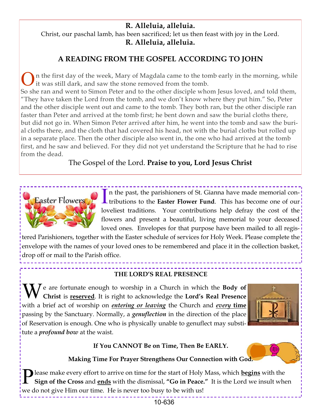## **R. Alleluia, alleluia.** Christ, our paschal lamb, has been sacrificed; let us then feast with joy in the Lord. **R. Alleluia, alleluia.**

# **A READING FROM THE GOSPEL ACCORDING TO JOHN**

O n the first day of the week, Mary of Magdala came to the tomb early in the morning, while it was still dark, and saw the stone removed from the tomb.

So she ran and went to Simon Peter and to the other disciple whom Jesus loved, and told them, "They have taken the Lord from the tomb, and we don't know where they put him." So, Peter and the other disciple went out and came to the tomb. They both ran, but the other disciple ran faster than Peter and arrived at the tomb first; he bent down and saw the burial cloths there, but did not go in. When Simon Peter arrived after him, he went into the tomb and saw the burial cloths there, and the cloth that had covered his head, not with the burial cloths but rolled up in a separate place. Then the other disciple also went in, the one who had arrived at the tomb first, and he saw and believed. For they did not yet understand the Scripture that he had to rise from the dead.

# The Gospel of the Lord. **Praise to you, Lord Jesus Christ**



In the past, the parishioners of St. Gianna have made memorial contributions to the **Easter Flower Fund**. This has become one of our n the past, the parishioners of St. Gianna have made memorial conloveliest traditions. Your contributions help defray the cost of the flowers and present a beautiful, living memorial to your deceased loved ones. Envelopes for that purpose have been mailed to all regis-

tered Parishioners, together with the Easter schedule of services for Holy Week. Please complete the envelope with the names of your loved ones to be remembered and place it in the collection basket, drop off or mail to the Parish office.

## **THE LORD'S REAL PRESENCE**

 $\boldsymbol{J}$ e are fortunate enough to worship in a Church in which the  $\boldsymbol{Body}$  of **Christ** is **reserved**. It is right to acknowledge the **Lord's Real Presence**  with a brief act of worship on *entering or leaving* the Church and *every* **time** passing by the Sanctuary. Normally, a *genuflection* in the direction of the place of Reservation is enough. One who is physically unable to genuflect may substitute a *profound bow* at the waist.



## **If You CANNOT Be on Time, Then Be EARLY.**



## **Making Time For Prayer Strengthens Our Connection with God.**

P lease make every effort to arrive on time for the start of Holy Mass, which **begins** with the **Sign of the Cross** and **ends** with the dismissal, **"Go in Peace."** It is the Lord we insult when we do not give Him our time. He is never too busy to be with us!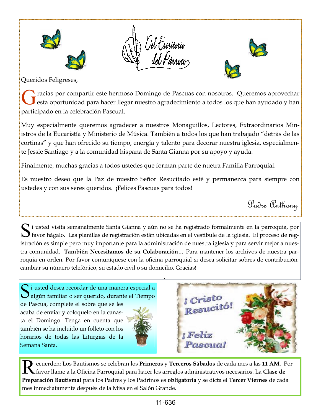





Queridos Feligreses,

G racias por compartir este hermoso Domingo de Pascuas con nosotros. Queremos aprovechar esta oportunidad para hacer llegar nuestro agradecimiento a todos los que han ayudado y han participado en la celebración Pascual.

Muy especialmente queremos agradecer a nuestros Monaguillos, Lectores, Extraordinarios Ministros de la Eucaristía y Ministerio de Música. También a todos los que han trabajado "detrás de las cortinas" y que han ofrecido su tiempo, energía y talento para decorar nuestra iglesia, especialmente Jessie Santiago y a la comunidad hispana de Santa Gianna por su apoyo y ayuda.

Finalmente, muchas gracias a todos ustedes que forman parte de nuetra Familia Parroquial.

Es nuestro deseo que la Paz de nuestro Señor Resucitado esté y permanezca para siempre con ustedes y con sus seres queridos. ¡Felices Pascuas para todos!

Padre Anthony

Si usted visita semanalmente Santa Gianna y aún no se ha registrado formalmente en la parroquia, por favor hágalo. Las planillas de registración están ubicadas en el vestibule de la iglesia. El proceso de regi usted visita semanalmente Santa Gianna y aún no se ha registrado formalmente en la parroquia, por istración es simple pero muy importante para la administración de nuestra iglesia y para servir mejor a nuestra comunidad. **También Necesitamos de su Colaboración…** Para mantener los archivos de nuestra parroquia en orden. Por favor comuníquese con la oficina parroquial si desea solicitar sobres de contribución, cambiar su número telefónico, su estado civil o su domicilio. Gracias!

 $S$  i usted desea recordar de una manera especial a algún familiar o ser querido, durante el Tiempo  $\bigcap$  i usted desea recordar de una manera especial a

de Pascua, complete el sobre que se les acaba de enviar y coloquelo en la canasta el Domingo. Tenga en cuenta que también se ha incluido un folleto con los horarios de todas las Liturgias de la Semana Santa.





R ecuerden: Los Bautismos se celebran los **Primeros** y **Terceros Sábados** de cada mes a las **11 AM**. Por favor llame a la Oficina Parroquial para hacer los arreglos administrativos necesarios. La **Clase de Preparación Bautismal** para los Padres y los Padrinos es **obligatoria** y se dicta el **Tercer Viernes** de cada mes inmediatamente después de la Misa en el Salón Grande.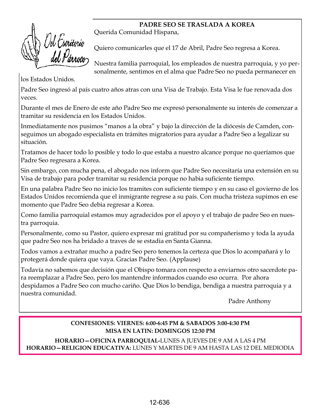# **PADRE SEO SE TRASLADA A KOREA**



Querida Comunidad Hispana,

Quiero comunicarles que el 17 de Abril, Padre Seo regresa a Korea.

Nuestra familia parroquial, los empleados de nuestra parroquia, y yo personalmente, sentimos en el alma que Padre Seo no pueda permanecer en

los Estados Unidos.

Padre Seo ingresó al país cuatro años atras con una Visa de Trabajo. Esta Visa le fue renovada dos veces.

Durante el mes de Enero de este año Padre Seo me expresó personalmente su interés de comenzar a tramitar su residencia en los Estados Unidos.

Inmediatamente nos pusimos "manos a la obra" y bajo la dirección de la diócesis de Camden, conseguimos un abogado especialista en trámites migratorios para ayudar a Padre Seo a legalizar su situación.

Tratamos de hacer todo lo posible y todo lo que estaba a nuestro alcance porque no queríamos que Padre Seo regresara a Korea.

Sin embargo, con mucha pena, el abogado nos inform que Padre Seo necesitaría una extensión en su Visa de trabajo para poder tramitar su residencia porque no habia suficiente tiempo.

En una palabra Padre Seo no inicio los tramites con suficiente tiempo y en su caso el govierno de los Estados Unidos recomienda que el inmigrante regrese a su país. Con mucha tristeza supimos en ese momento que Padre Seo debia regresar a Korea.

Como familia parroquial estamos muy agradecidos por el apoyo y el trabajo de padre Seo en nuestra parroquia.

Personalmente, como su Pastor, quiero expresar mi gratitud por su compañerismo y toda la ayuda que padre Seo nos ha bridado a traves de se estadia en Santa Gianna.

Todos vamos a extrañar mucho a padre Seo pero tenemos la certeza que Dios lo acompañará y lo protegerá donde quiera que vaya. Gracias Padre Seo. (Applause)

Todavía no sabemos que decisión que el Obispo tomara con respecto a enviarnos otro sacerdote para reemplazar a Padre Seo, pero los mantendre informados cuando eso ocurra. Por ahora despidamos a Padre Seo con mucho cariño. Que Dios lo bendiga, bendiga a nuestra parroquia y a nuestra comunidad.

Padre Anthony

## **CONFESIONES: VIERNES: 6:00-6:45 PM & SABADOS 3:00-4:30 PM MISA EN LATIN: DOMINGOS 12:30 PM**

**HORARIO—OFICINA PARROQUIAL-**LUNES A JUEVES DE 9 AM A LAS 4 PM **HORARIO—RELIGION EDUCATIVA:** LUNES Y MARTES DE 9 AM HASTA LAS 12 DEL MEDIODIA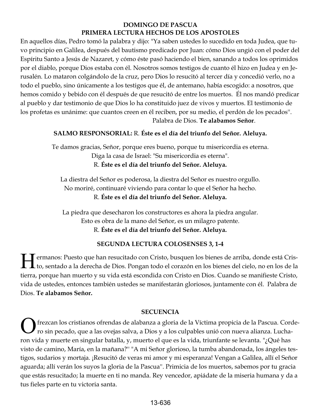#### **DOMINGO DE PASCUA PRIMERA LECTURA HECHOS DE LOS APOSTOLES**

En aquellos días, Pedro tomó la palabra y dijo: "Ya saben ustedes lo sucedido en toda Judea, que tuvo principio en Galilea, después del bautismo predicado por Juan: cómo Dios ungió con el poder del Espíritu Santo a Jesús de Nazaret, y cómo éste pasó haciendo el bien, sanando a todos los oprimidos por el diablo, porque Dios estaba con él. Nosotros somos testigos de cuanto él hizo en Judea y en Jerusalén. Lo mataron colgándolo de la cruz, pero Dios lo resucitó al tercer día y concedió verlo, no a todo el pueblo, sino únicamente a los testigos que él, de antemano, había escogido: a nosotros, que hemos comido y bebido con él después de que resucitó de entre los muertos. Él nos mandó predicar al pueblo y dar testimonio de que Dios lo ha constituido juez de vivos y muertos. El testimonio de los profetas es unánime: que cuantos creen en él reciben, por su medio, el perdón de los pecados''. Palabra de Dios. **Te alabamos Señor**.

#### **SALMO RESPONSORIAL:** R. **Éste es el día del triunfo del Señor. Aleluya.**

Te damos gracias, Señor, porque eres bueno, porque tu misericordia es eterna. Diga la casa de Israel: "Su misericordia es eterna". R. **Éste es el día del triunfo del Señor. Aleluya.** 

La diestra del Señor es poderosa, la diestra del Señor es nuestro orgullo. No moriré, continuaré viviendo para contar lo que el Señor ha hecho. R. **Éste es el día del triunfo del Señor. Aleluya.** 

La piedra que desecharon los constructores es ahora la piedra angular. Esto es obra de la mano del Señor, es un milagro patente. R. **Éste es el día del triunfo del Señor. Aleluya.**

## **SEGUNDA LECTURA COLOSENSES 3, 1-4**

**H** ermanos: Puesto que han resucitado con Cristo, busquen los bienes de arriba, donde está Cris-<br>Lo, sentado a la derecha de Dios. Pongan todo el corazón en los bienes del cielo, no en los de la ermanos: Puesto que han resucitado con Cristo, busquen los bienes de arriba, donde está Cristierra, porque han muerto y su vida está escondida con Cristo en Dios. Cuando se manifieste Cristo, vida de ustedes, entonces también ustedes se manifestarán gloriosos, juntamente con él. Palabra de Dios. **Te alabamos Señor.** 

#### **SECUENCIA**

O frezcan los cristianos ofrendas de alabanza a gloria de la Víctima propicia de la Pascua. Cordero sin pecado, que a las ovejas salva, a Dios y a los culpables unió con nueva alianza. Lucharon vida y muerte en singular batalla, y, muerto el que es la vida, triunfante se levanta. "¿Qué has visto de camino, María, en la mañana?'' "A mi Señor glorioso, la tumba abandonada, los ángeles testigos, sudarios y mortaja. ¡Resucitó de veras mi amor y mi esperanza! Vengan a Galilea, allí el Señor aguarda; allí verán los suyos la gloria de la Pascua''. Primicia de los muertos, sabemos por tu gracia que estás resucitado; la muerte en ti no manda. Rey vencedor, apiádate de la miseria humana y da a tus fieles parte en tu victoria santa.